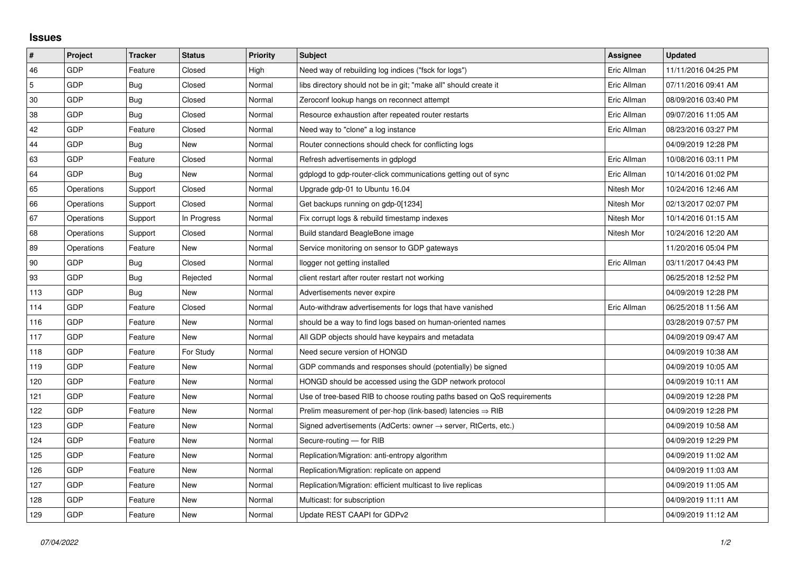## **Issues**

| $\vert$ #      | Project    | <b>Tracker</b> | <b>Status</b> | <b>Priority</b> | <b>Subject</b>                                                          | Assignee    | <b>Updated</b>      |
|----------------|------------|----------------|---------------|-----------------|-------------------------------------------------------------------------|-------------|---------------------|
| 46             | GDP        | Feature        | Closed        | High            | Need way of rebuilding log indices ("fsck for logs")                    | Eric Allman | 11/11/2016 04:25 PM |
| $\overline{5}$ | GDP        | Bug            | Closed        | Normal          | libs directory should not be in git; "make all" should create it        | Eric Allman | 07/11/2016 09:41 AM |
| 30             | <b>GDP</b> | Bug            | Closed        | Normal          | Zeroconf lookup hangs on reconnect attempt                              | Eric Allman | 08/09/2016 03:40 PM |
| 38             | GDP        | Bug            | Closed        | Normal          | Resource exhaustion after repeated router restarts                      | Eric Allman | 09/07/2016 11:05 AM |
| 42             | GDP        | Feature        | Closed        | Normal          | Need way to "clone" a log instance                                      | Eric Allman | 08/23/2016 03:27 PM |
| 44             | GDP        | Bug            | New           | Normal          | Router connections should check for conflicting logs                    |             | 04/09/2019 12:28 PM |
| 63             | GDP        | Feature        | Closed        | Normal          | Refresh advertisements in gdplogd                                       | Eric Allman | 10/08/2016 03:11 PM |
| 64             | GDP        | Bug            | New           | Normal          | gdplogd to gdp-router-click communications getting out of sync          | Eric Allman | 10/14/2016 01:02 PM |
| 65             | Operations | Support        | Closed        | Normal          | Upgrade gdp-01 to Ubuntu 16.04                                          | Nitesh Mor  | 10/24/2016 12:46 AM |
| 66             | Operations | Support        | Closed        | Normal          | Get backups running on gdp-0[1234]                                      | Nitesh Mor  | 02/13/2017 02:07 PM |
| 67             | Operations | Support        | In Progress   | Normal          | Fix corrupt logs & rebuild timestamp indexes                            | Nitesh Mor  | 10/14/2016 01:15 AM |
| 68             | Operations | Support        | Closed        | Normal          | Build standard BeagleBone image                                         | Nitesh Mor  | 10/24/2016 12:20 AM |
| 89             | Operations | Feature        | New           | Normal          | Service monitoring on sensor to GDP gateways                            |             | 11/20/2016 05:04 PM |
| 90             | GDP        | Bug            | Closed        | Normal          | llogger not getting installed                                           | Eric Allman | 03/11/2017 04:43 PM |
| 93             | GDP        | Bug            | Rejected      | Normal          | client restart after router restart not working                         |             | 06/25/2018 12:52 PM |
| 113            | GDP        | Bug            | New           | Normal          | Advertisements never expire                                             |             | 04/09/2019 12:28 PM |
| 114            | GDP        | Feature        | Closed        | Normal          | Auto-withdraw advertisements for logs that have vanished                | Eric Allman | 06/25/2018 11:56 AM |
| 116            | GDP        | Feature        | <b>New</b>    | Normal          | should be a way to find logs based on human-oriented names              |             | 03/28/2019 07:57 PM |
| 117            | GDP        | Feature        | New           | Normal          | All GDP objects should have keypairs and metadata                       |             | 04/09/2019 09:47 AM |
| 118            | GDP        | Feature        | For Study     | Normal          | Need secure version of HONGD                                            |             | 04/09/2019 10:38 AM |
| 119            | GDP        | Feature        | New           | Normal          | GDP commands and responses should (potentially) be signed               |             | 04/09/2019 10:05 AM |
| 120            | GDP        | Feature        | New           | Normal          | HONGD should be accessed using the GDP network protocol                 |             | 04/09/2019 10:11 AM |
| 121            | GDP        | Feature        | New           | Normal          | Use of tree-based RIB to choose routing paths based on QoS requirements |             | 04/09/2019 12:28 PM |
| 122            | GDP        | Feature        | New           | Normal          | Prelim measurement of per-hop (link-based) latencies $\Rightarrow$ RIB  |             | 04/09/2019 12:28 PM |
| 123            | GDP        | Feature        | New           | Normal          | Signed advertisements (AdCerts: owner → server, RtCerts, etc.)          |             | 04/09/2019 10:58 AM |
| 124            | GDP        | Feature        | New           | Normal          | Secure-routing - for RIB                                                |             | 04/09/2019 12:29 PM |
| 125            | GDP        | Feature        | New           | Normal          | Replication/Migration: anti-entropy algorithm                           |             | 04/09/2019 11:02 AM |
| 126            | GDP        | Feature        | New           | Normal          | Replication/Migration: replicate on append                              |             | 04/09/2019 11:03 AM |
| 127            | GDP        | Feature        | New           | Normal          | Replication/Migration: efficient multicast to live replicas             |             | 04/09/2019 11:05 AM |
| 128            | GDP        | Feature        | New           | Normal          | Multicast: for subscription                                             |             | 04/09/2019 11:11 AM |
| 129            | GDP        | Feature        | New           | Normal          | Update REST CAAPI for GDPv2                                             |             | 04/09/2019 11:12 AM |